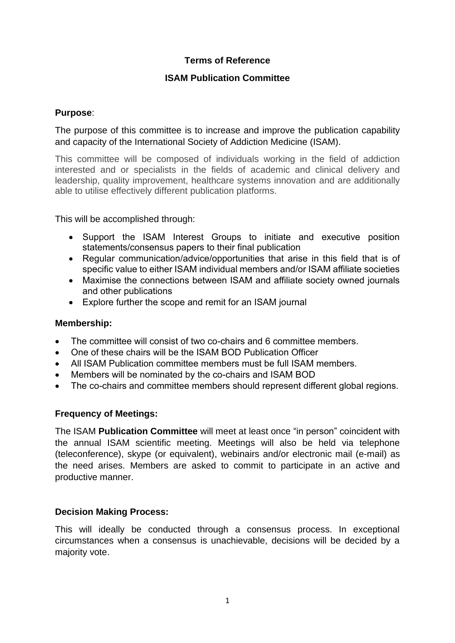## **Terms of Reference**

## **ISAM Publication Committee**

### **Purpose**:

The purpose of this committee is to increase and improve the publication capability and capacity of the International Society of Addiction Medicine (ISAM).

This committee will be composed of individuals working in the field of addiction interested and or specialists in the fields of academic and clinical delivery and leadership, quality improvement, healthcare systems innovation and are additionally able to utilise effectively different publication platforms.

This will be accomplished through:

- Support the ISAM Interest Groups to initiate and executive position statements/consensus papers to their final publication
- Regular communication/advice/opportunities that arise in this field that is of specific value to either ISAM individual members and/or ISAM affiliate societies
- Maximise the connections between ISAM and affiliate society owned journals and other publications
- Explore further the scope and remit for an ISAM journal

#### **Membership:**

- The committee will consist of two co-chairs and 6 committee members.
- One of these chairs will be the ISAM BOD Publication Officer
- All ISAM Publication committee members must be full ISAM members.
- Members will be nominated by the co-chairs and ISAM BOD
- The co-chairs and committee members should represent different global regions.

## **Frequency of Meetings:**

The ISAM **Publication Committee** will meet at least once "in person" coincident with the annual ISAM scientific meeting. Meetings will also be held via telephone (teleconference), skype (or equivalent), webinairs and/or electronic mail (e-mail) as the need arises. Members are asked to commit to participate in an active and productive manner.

#### **Decision Making Process:**

This will ideally be conducted through a consensus process. In exceptional circumstances when a consensus is unachievable, decisions will be decided by a majority vote.